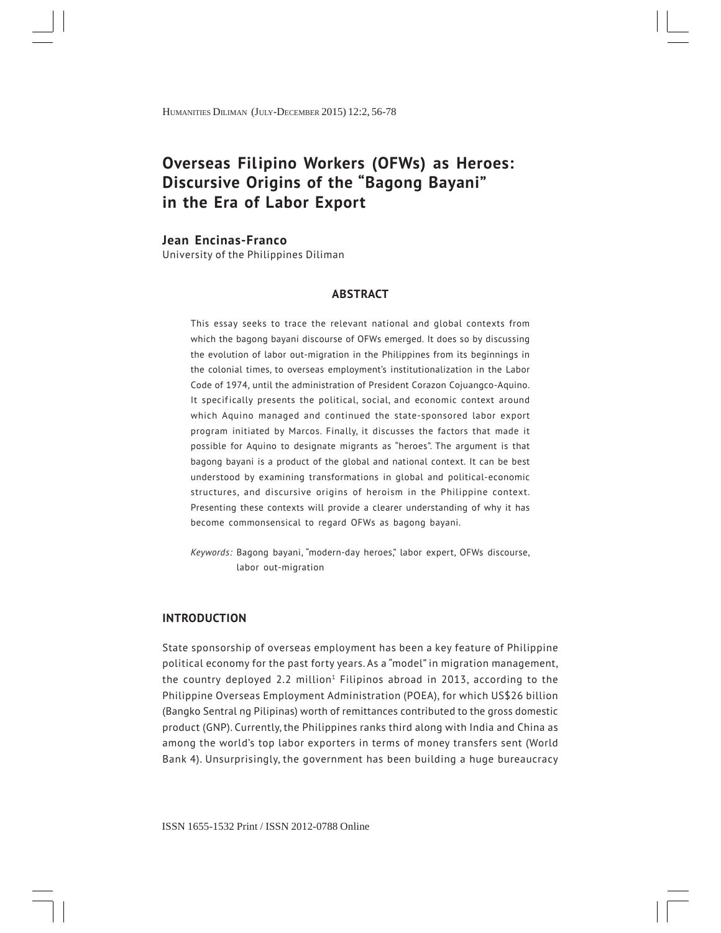# **Overseas Filipino Workers (OFWs) as Heroes: Discursive Origins of the "Bagong Bayani" in the Era of Labor Export**

#### **Jean Encinas-Franco**

University of the Philippines Diliman

#### **ABSTRACT**

This essay seeks to trace the relevant national and global contexts from which the bagong bayani discourse of OFWs emerged. It does so by discussing the evolution of labor out-migration in the Philippines from its beginnings in the colonial times, to overseas employment's institutionalization in the Labor Code of 1974, until the administration of President Corazon Cojuangco-Aquino. It specifically presents the political, social, and economic context around which Aquino managed and continued the state-sponsored labor export program initiated by Marcos. Finally, it discusses the factors that made it possible for Aquino to designate migrants as "heroes". The argument is that bagong bayani is a product of the global and national context. It can be best understood by examining transformations in global and political-economic structures, and discursive origins of heroism in the Philippine context. Presenting these contexts will provide a clearer understanding of why it has become commonsensical to regard OFWs as bagong bayani.

*Keywords:* Bagong bayani, "modern-day heroes," labor expert, OFWs discourse, labor out-migration

#### **INTRODUCTION**

State sponsorship of overseas employment has been a key feature of Philippine political economy for the past forty years. As a "model" in migration management, the country deployed 2.2 million<sup>1</sup> Filipinos abroad in 2013, according to the Philippine Overseas Employment Administration (POEA), for which US\$26 billion (Bangko Sentral ng Pilipinas) worth of remittances contributed to the gross domestic product (GNP). Currently, the Philippines ranks third along with India and China as among the world's top labor exporters in terms of money transfers sent (World Bank 4). Unsurprisingly, the government has been building a huge bureaucracy

56 ISSN 1655-1532 Print / ISSN 2012-0788 Online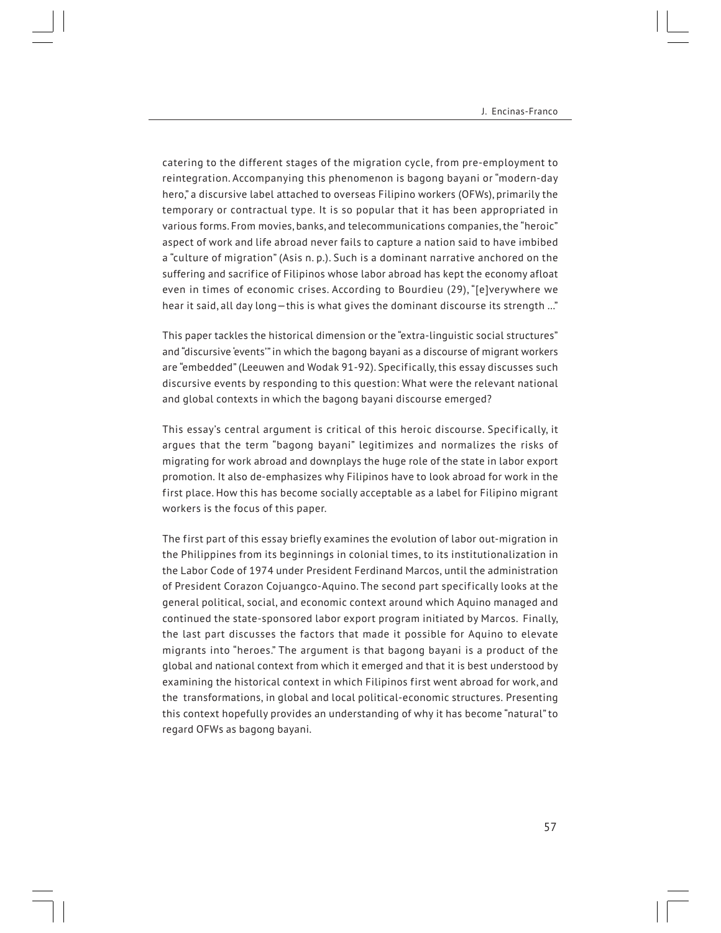catering to the different stages of the migration cycle, from pre-employment to reintegration. Accompanying this phenomenon is bagong bayani or "modern-day hero," a discursive label attached to overseas Filipino workers (OFWs), primarily the temporary or contractual type. It is so popular that it has been appropriated in various forms. From movies, banks, and telecommunications companies, the "heroic" aspect of work and life abroad never fails to capture a nation said to have imbibed a "culture of migration" (Asis n. p.). Such is a dominant narrative anchored on the suffering and sacrifice of Filipinos whose labor abroad has kept the economy afloat even in times of economic crises. According to Bourdieu (29), "[e]verywhere we hear it said, all day long—this is what gives the dominant discourse its strength …"

This paper tackles the historical dimension or the "extra-linguistic social structures" and "discursive 'events'" in which the bagong bayani as a discourse of migrant workers are "embedded" (Leeuwen and Wodak 91-92). Specifically, this essay discusses such discursive events by responding to this question: What were the relevant national and global contexts in which the bagong bayani discourse emerged?

This essay's central argument is critical of this heroic discourse. Specifically, it argues that the term "bagong bayani" legitimizes and normalizes the risks of migrating for work abroad and downplays the huge role of the state in labor export promotion. It also de-emphasizes why Filipinos have to look abroad for work in the first place. How this has become socially acceptable as a label for Filipino migrant workers is the focus of this paper.

The first part of this essay briefly examines the evolution of labor out-migration in the Philippines from its beginnings in colonial times, to its institutionalization in the Labor Code of 1974 under President Ferdinand Marcos, until the administration of President Corazon Cojuangco-Aquino. The second part specifically looks at the general political, social, and economic context around which Aquino managed and continued the state-sponsored labor export program initiated by Marcos. Finally, the last part discusses the factors that made it possible for Aquino to elevate migrants into "heroes." The argument is that bagong bayani is a product of the global and national context from which it emerged and that it is best understood by examining the historical context in which Filipinos first went abroad for work, and the transformations, in global and local political-economic structures. Presenting this context hopefully provides an understanding of why it has become "natural" to regard OFWs as bagong bayani.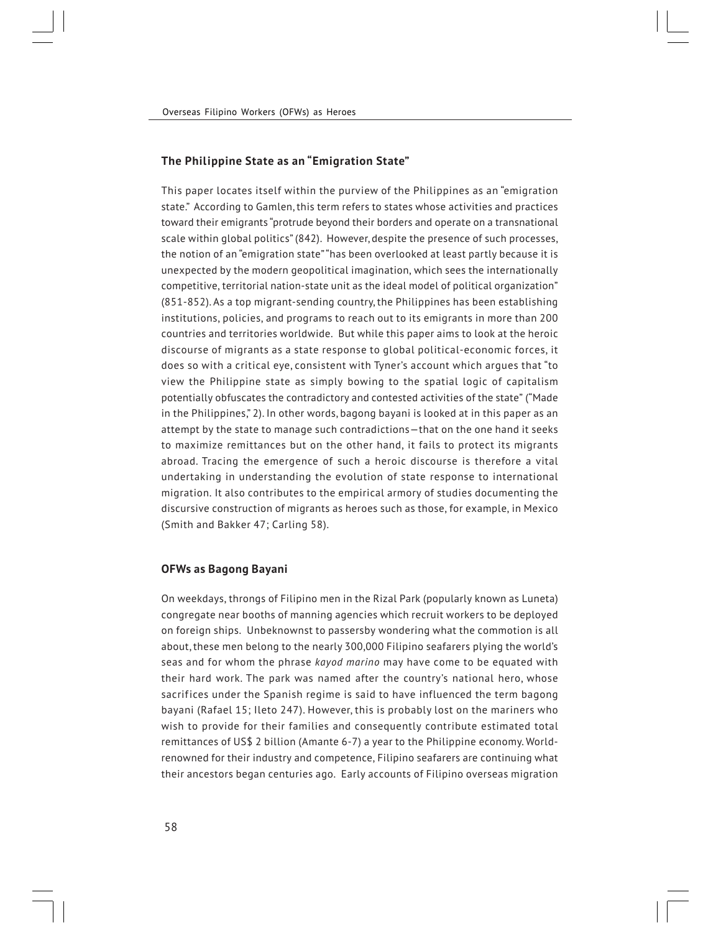## **The Philippine State as an "Emigration State"**

This paper locates itself within the purview of the Philippines as an "emigration state." According to Gamlen, this term refers to states whose activities and practices toward their emigrants "protrude beyond their borders and operate on a transnational scale within global politics" (842). However, despite the presence of such processes, the notion of an "emigration state" "has been overlooked at least partly because it is unexpected by the modern geopolitical imagination, which sees the internationally competitive, territorial nation-state unit as the ideal model of political organization" (851-852). As a top migrant-sending country, the Philippines has been establishing institutions, policies, and programs to reach out to its emigrants in more than 200 countries and territories worldwide. But while this paper aims to look at the heroic discourse of migrants as a state response to global political-economic forces, it does so with a critical eye, consistent with Tyner's account which argues that "to view the Philippine state as simply bowing to the spatial logic of capitalism potentially obfuscates the contradictory and contested activities of the state" ("Made in the Philippines," 2). In other words, bagong bayani is looked at in this paper as an attempt by the state to manage such contradictions—that on the one hand it seeks to maximize remittances but on the other hand, it fails to protect its migrants abroad. Tracing the emergence of such a heroic discourse is therefore a vital undertaking in understanding the evolution of state response to international migration. It also contributes to the empirical armory of studies documenting the discursive construction of migrants as heroes such as those, for example, in Mexico (Smith and Bakker 47; Carling 58).

## **OFWs as Bagong Bayani**

On weekdays, throngs of Filipino men in the Rizal Park (popularly known as Luneta) congregate near booths of manning agencies which recruit workers to be deployed on foreign ships. Unbeknownst to passersby wondering what the commotion is all about, these men belong to the nearly 300,000 Filipino seafarers plying the world's seas and for whom the phrase *kayod marino* may have come to be equated with their hard work. The park was named after the country's national hero, whose sacrifices under the Spanish regime is said to have influenced the term bagong bayani (Rafael 15; Ileto 247). However, this is probably lost on the mariners who wish to provide for their families and consequently contribute estimated total remittances of US\$ 2 billion (Amante 6-7) a year to the Philippine economy. Worldrenowned for their industry and competence, Filipino seafarers are continuing what their ancestors began centuries ago. Early accounts of Filipino overseas migration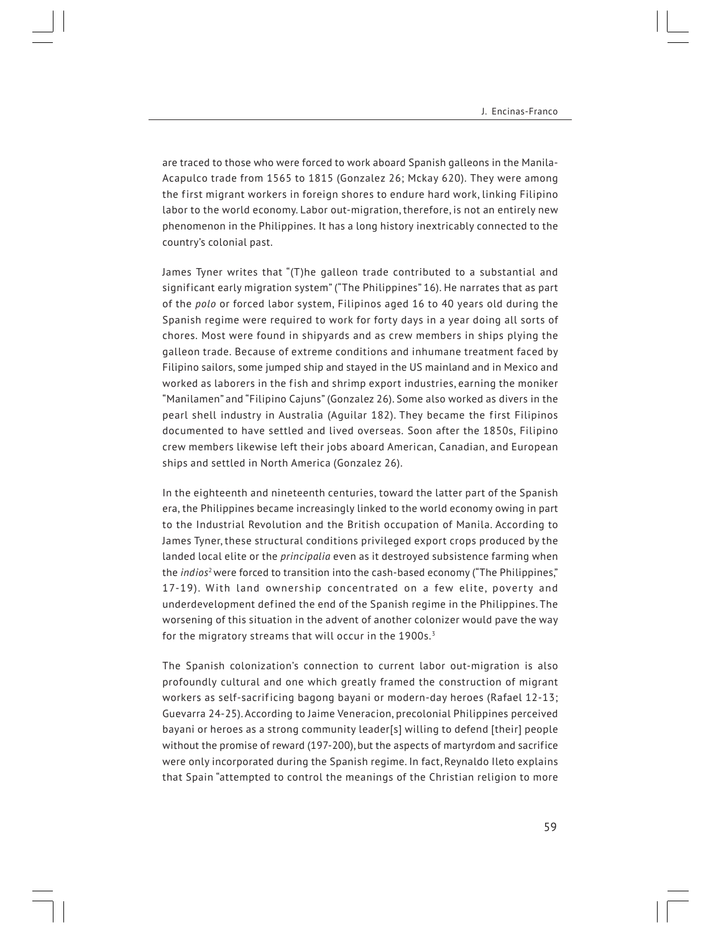are traced to those who were forced to work aboard Spanish galleons in the Manila-Acapulco trade from 1565 to 1815 (Gonzalez 26; Mckay 620). They were among the first migrant workers in foreign shores to endure hard work, linking Filipino labor to the world economy. Labor out-migration, therefore, is not an entirely new phenomenon in the Philippines. It has a long history inextricably connected to the country's colonial past.

James Tyner writes that "(T)he galleon trade contributed to a substantial and significant early migration system" ("The Philippines" 16). He narrates that as part of the *polo* or forced labor system, Filipinos aged 16 to 40 years old during the Spanish regime were required to work for forty days in a year doing all sorts of chores. Most were found in shipyards and as crew members in ships plying the galleon trade. Because of extreme conditions and inhumane treatment faced by Filipino sailors, some jumped ship and stayed in the US mainland and in Mexico and worked as laborers in the fish and shrimp export industries, earning the moniker "Manilamen" and "Filipino Cajuns" (Gonzalez 26). Some also worked as divers in the pearl shell industry in Australia (Aguilar 182). They became the first Filipinos documented to have settled and lived overseas. Soon after the 1850s, Filipino crew members likewise left their jobs aboard American, Canadian, and European ships and settled in North America (Gonzalez 26).

In the eighteenth and nineteenth centuries, toward the latter part of the Spanish era, the Philippines became increasingly linked to the world economy owing in part to the Industrial Revolution and the British occupation of Manila. According to James Tyner, these structural conditions privileged export crops produced by the landed local elite or the *principalia* even as it destroyed subsistence farming when the *indios*<sup>2</sup> were forced to transition into the cash-based economy ("The Philippines," 17-19). With land ownership concentrated on a few elite, poverty and underdevelopment defined the end of the Spanish regime in the Philippines. The worsening of this situation in the advent of another colonizer would pave the way for the migratory streams that will occur in the 1900s.<sup>3</sup>

The Spanish colonization's connection to current labor out-migration is also profoundly cultural and one which greatly framed the construction of migrant workers as self-sacrificing bagong bayani or modern-day heroes (Rafael 12-13; Guevarra 24-25). According to Jaime Veneracion, precolonial Philippines perceived bayani or heroes as a strong community leader[s] willing to defend [their] people without the promise of reward (197-200), but the aspects of martyrdom and sacrifice were only incorporated during the Spanish regime. In fact, Reynaldo Ileto explains that Spain "attempted to control the meanings of the Christian religion to more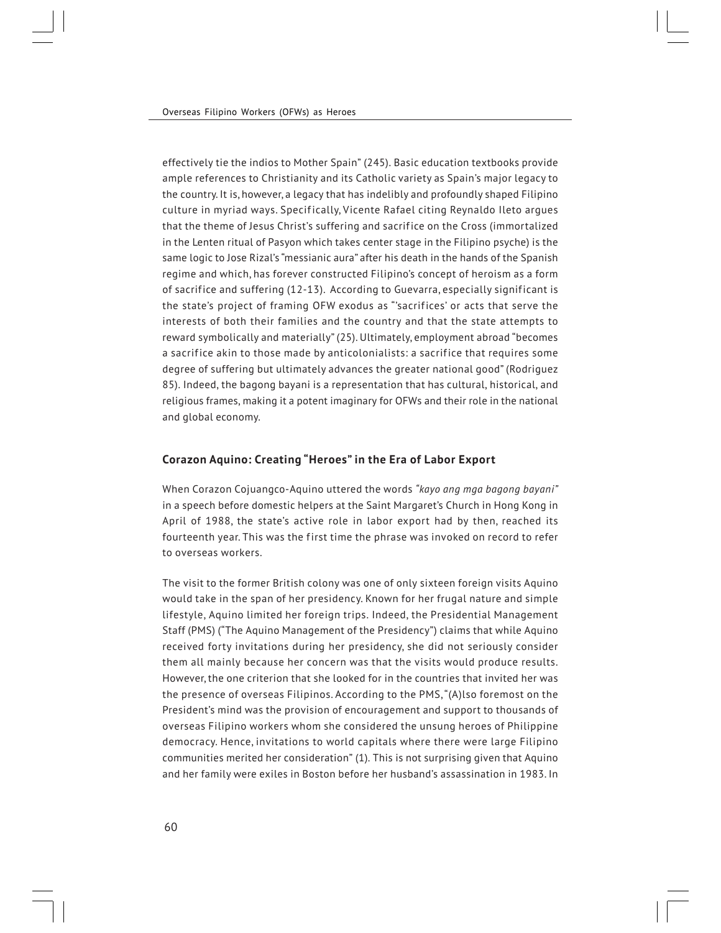effectively tie the indios to Mother Spain" (245). Basic education textbooks provide ample references to Christianity and its Catholic variety as Spain's major legacy to the country. It is, however, a legacy that has indelibly and profoundly shaped Filipino culture in myriad ways. Specifically, Vicente Rafael citing Reynaldo Ileto argues that the theme of Jesus Christ's suffering and sacrifice on the Cross (immortalized in the Lenten ritual of Pasyon which takes center stage in the Filipino psyche) is the same logic to Jose Rizal's "messianic aura" after his death in the hands of the Spanish regime and which, has forever constructed Filipino's concept of heroism as a form of sacrifice and suffering (12-13). According to Guevarra, especially significant is the state's project of framing OFW exodus as "'sacrifices' or acts that serve the interests of both their families and the country and that the state attempts to reward symbolically and materially" (25). Ultimately, employment abroad "becomes a sacrifice akin to those made by anticolonialists: a sacrifice that requires some degree of suffering but ultimately advances the greater national good" (Rodriguez 85). Indeed, the bagong bayani is a representation that has cultural, historical, and religious frames, making it a potent imaginary for OFWs and their role in the national and global economy.

## **Corazon Aquino: Creating "Heroes" in the Era of Labor Export**

When Corazon Cojuangco-Aquino uttered the words *"kayo ang mga bagong bayani"* in a speech before domestic helpers at the Saint Margaret's Church in Hong Kong in April of 1988, the state's active role in labor export had by then, reached its fourteenth year. This was the first time the phrase was invoked on record to refer to overseas workers.

The visit to the former British colony was one of only sixteen foreign visits Aquino would take in the span of her presidency. Known for her frugal nature and simple lifestyle, Aquino limited her foreign trips. Indeed, the Presidential Management Staff (PMS) ("The Aquino Management of the Presidency") claims that while Aquino received forty invitations during her presidency, she did not seriously consider them all mainly because her concern was that the visits would produce results. However, the one criterion that she looked for in the countries that invited her was the presence of overseas Filipinos. According to the PMS, "(A)lso foremost on the President's mind was the provision of encouragement and support to thousands of overseas Filipino workers whom she considered the unsung heroes of Philippine democracy. Hence, invitations to world capitals where there were large Filipino communities merited her consideration" (1). This is not surprising given that Aquino and her family were exiles in Boston before her husband's assassination in 1983. In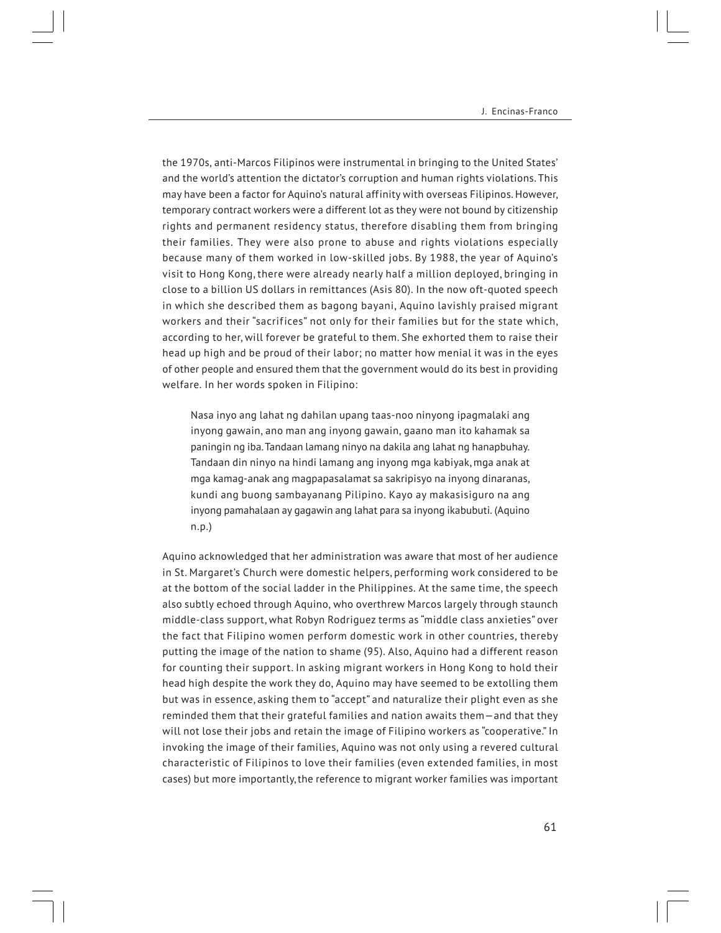the 1970s, anti-Marcos Filipinos were instrumental in bringing to the United States' and the world's attention the dictator's corruption and human rights violations. This may have been a factor for Aquino's natural affinity with overseas Filipinos. However, temporary contract workers were a different lot as they were not bound by citizenship rights and permanent residency status, therefore disabling them from bringing their families. They were also prone to abuse and rights violations especially because many of them worked in low-skilled jobs. By 1988, the year of Aquino's visit to Hong Kong, there were already nearly half a million deployed, bringing in close to a billion US dollars in remittances (Asis 80). In the now oft-quoted speech in which she described them as bagong bayani, Aquino lavishly praised migrant workers and their "sacrifices" not only for their families but for the state which, according to her, will forever be grateful to them. She exhorted them to raise their head up high and be proud of their labor; no matter how menial it was in the eyes of other people and ensured them that the government would do its best in providing welfare. In her words spoken in Filipino:

Nasa inyo ang lahat ng dahilan upang taas-noo ninyong ipagmalaki ang inyong gawain, ano man ang inyong gawain, gaano man ito kahamak sa paningin ng iba. Tandaan lamang ninyo na dakila ang lahat ng hanapbuhay. Tandaan din ninyo na hindi lamang ang inyong mga kabiyak, mga anak at mga kamag-anak ang magpapasalamat sa sakripisyo na inyong dinaranas, kundi ang buong sambayanang Pilipino. Kayo ay makasisiguro na ang inyong pamahalaan ay gagawin ang lahat para sa inyong ikabubuti. (Aquino n.p.)

Aquino acknowledged that her administration was aware that most of her audience in St. Margaret's Church were domestic helpers, performing work considered to be at the bottom of the social ladder in the Philippines. At the same time, the speech also subtly echoed through Aquino, who overthrew Marcos largely through staunch middle-class support, what Robyn Rodriguez terms as "middle class anxieties" over the fact that Filipino women perform domestic work in other countries, thereby putting the image of the nation to shame (95). Also, Aquino had a different reason for counting their support. In asking migrant workers in Hong Kong to hold their head high despite the work they do, Aquino may have seemed to be extolling them but was in essence, asking them to "accept" and naturalize their plight even as she reminded them that their grateful families and nation awaits them—and that they will not lose their jobs and retain the image of Filipino workers as "cooperative." In invoking the image of their families, Aquino was not only using a revered cultural characteristic of Filipinos to love their families (even extended families, in most cases) but more importantly, the reference to migrant worker families was important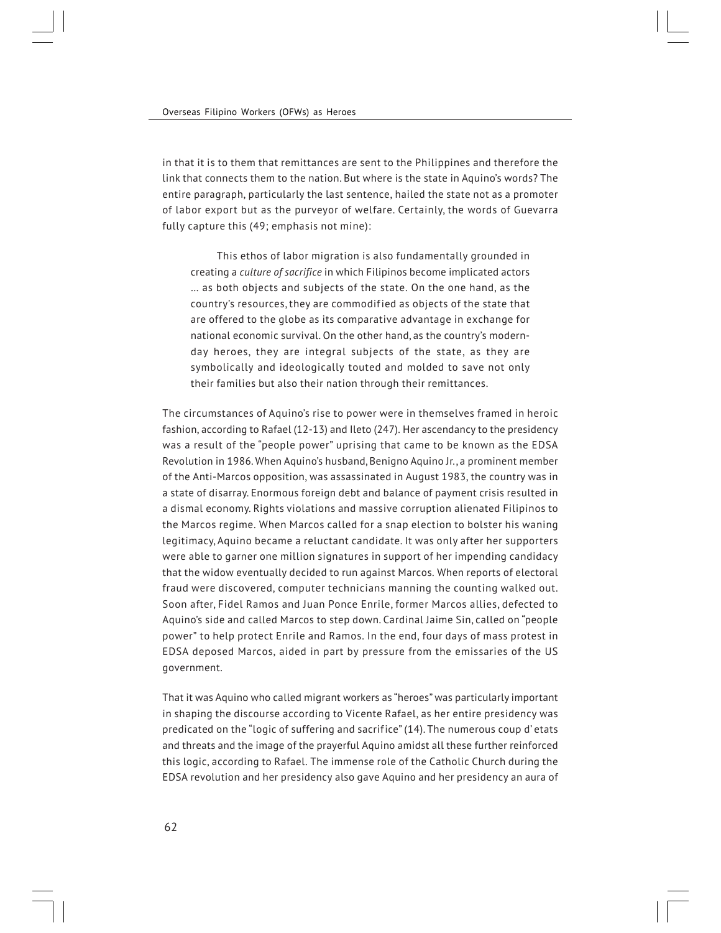in that it is to them that remittances are sent to the Philippines and therefore the link that connects them to the nation. But where is the state in Aquino's words? The entire paragraph, particularly the last sentence, hailed the state not as a promoter of labor export but as the purveyor of welfare. Certainly, the words of Guevarra fully capture this (49; emphasis not mine):

 This ethos of labor migration is also fundamentally grounded in creating a *culture of sacrifice* in which Filipinos become implicated actors … as both objects and subjects of the state. On the one hand, as the country's resources, they are commodified as objects of the state that are offered to the globe as its comparative advantage in exchange for national economic survival. On the other hand, as the country's modernday heroes, they are integral subjects of the state, as they are symbolically and ideologically touted and molded to save not only their families but also their nation through their remittances.

The circumstances of Aquino's rise to power were in themselves framed in heroic fashion, according to Rafael (12-13) and Ileto (247). Her ascendancy to the presidency was a result of the "people power" uprising that came to be known as the EDSA Revolution in 1986. When Aquino's husband, Benigno Aquino Jr., a prominent member of the Anti-Marcos opposition, was assassinated in August 1983, the country was in a state of disarray. Enormous foreign debt and balance of payment crisis resulted in a dismal economy. Rights violations and massive corruption alienated Filipinos to the Marcos regime. When Marcos called for a snap election to bolster his waning legitimacy, Aquino became a reluctant candidate. It was only after her supporters were able to garner one million signatures in support of her impending candidacy that the widow eventually decided to run against Marcos. When reports of electoral fraud were discovered, computer technicians manning the counting walked out. Soon after, Fidel Ramos and Juan Ponce Enrile, former Marcos allies, defected to Aquino's side and called Marcos to step down. Cardinal Jaime Sin, called on "people power" to help protect Enrile and Ramos. In the end, four days of mass protest in EDSA deposed Marcos, aided in part by pressure from the emissaries of the US government.

That it was Aquino who called migrant workers as "heroes" was particularly important in shaping the discourse according to Vicente Rafael, as her entire presidency was predicated on the "logic of suffering and sacrifice" (14). The numerous coup d' etats and threats and the image of the prayerful Aquino amidst all these further reinforced this logic, according to Rafael. The immense role of the Catholic Church during the EDSA revolution and her presidency also gave Aquino and her presidency an aura of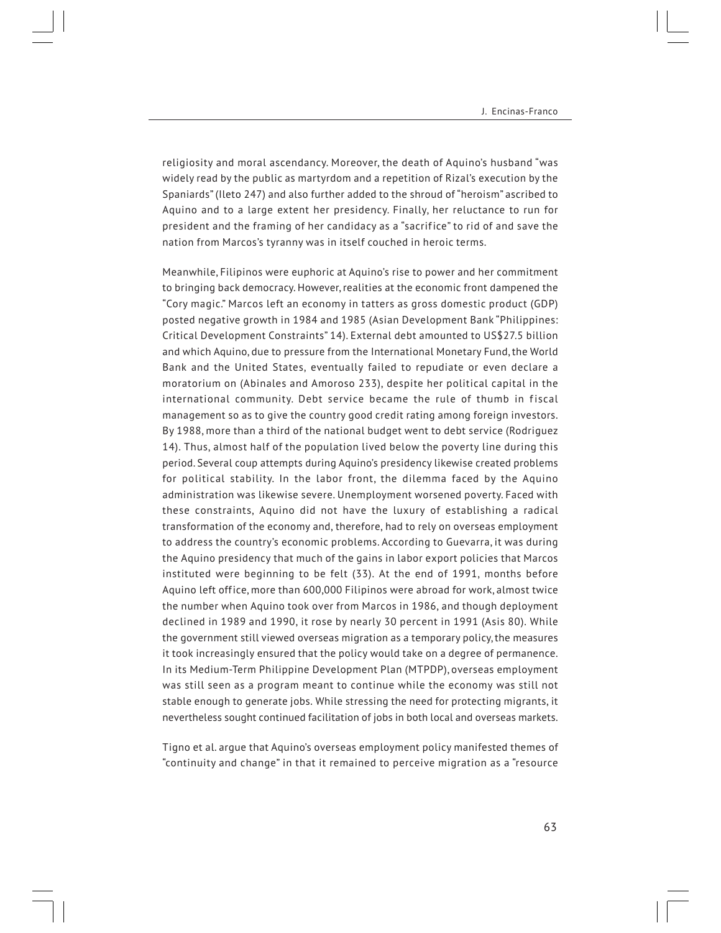religiosity and moral ascendancy. Moreover, the death of Aquino's husband "was widely read by the public as martyrdom and a repetition of Rizal's execution by the Spaniards" (Ileto 247) and also further added to the shroud of "heroism" ascribed to Aquino and to a large extent her presidency. Finally, her reluctance to run for president and the framing of her candidacy as a "sacrifice" to rid of and save the nation from Marcos's tyranny was in itself couched in heroic terms.

Meanwhile, Filipinos were euphoric at Aquino's rise to power and her commitment to bringing back democracy. However, realities at the economic front dampened the "Cory magic." Marcos left an economy in tatters as gross domestic product (GDP) posted negative growth in 1984 and 1985 (Asian Development Bank "Philippines: Critical Development Constraints" 14). External debt amounted to US\$27.5 billion and which Aquino, due to pressure from the International Monetary Fund, the World Bank and the United States, eventually failed to repudiate or even declare a moratorium on (Abinales and Amoroso 233), despite her political capital in the international community. Debt service became the rule of thumb in fiscal management so as to give the country good credit rating among foreign investors. By 1988, more than a third of the national budget went to debt service (Rodriguez 14). Thus, almost half of the population lived below the poverty line during this period. Several coup attempts during Aquino's presidency likewise created problems for political stability. In the labor front, the dilemma faced by the Aquino administration was likewise severe. Unemployment worsened poverty. Faced with these constraints, Aquino did not have the luxury of establishing a radical transformation of the economy and, therefore, had to rely on overseas employment to address the country's economic problems. According to Guevarra, it was during the Aquino presidency that much of the gains in labor export policies that Marcos instituted were beginning to be felt (33). At the end of 1991, months before Aquino left office, more than 600,000 Filipinos were abroad for work, almost twice the number when Aquino took over from Marcos in 1986, and though deployment declined in 1989 and 1990, it rose by nearly 30 percent in 1991 (Asis 80). While the government still viewed overseas migration as a temporary policy, the measures it took increasingly ensured that the policy would take on a degree of permanence. In its Medium-Term Philippine Development Plan (MTPDP), overseas employment was still seen as a program meant to continue while the economy was still not stable enough to generate jobs. While stressing the need for protecting migrants, it nevertheless sought continued facilitation of jobs in both local and overseas markets.

Tigno et al. argue that Aquino's overseas employment policy manifested themes of "continuity and change" in that it remained to perceive migration as a "resource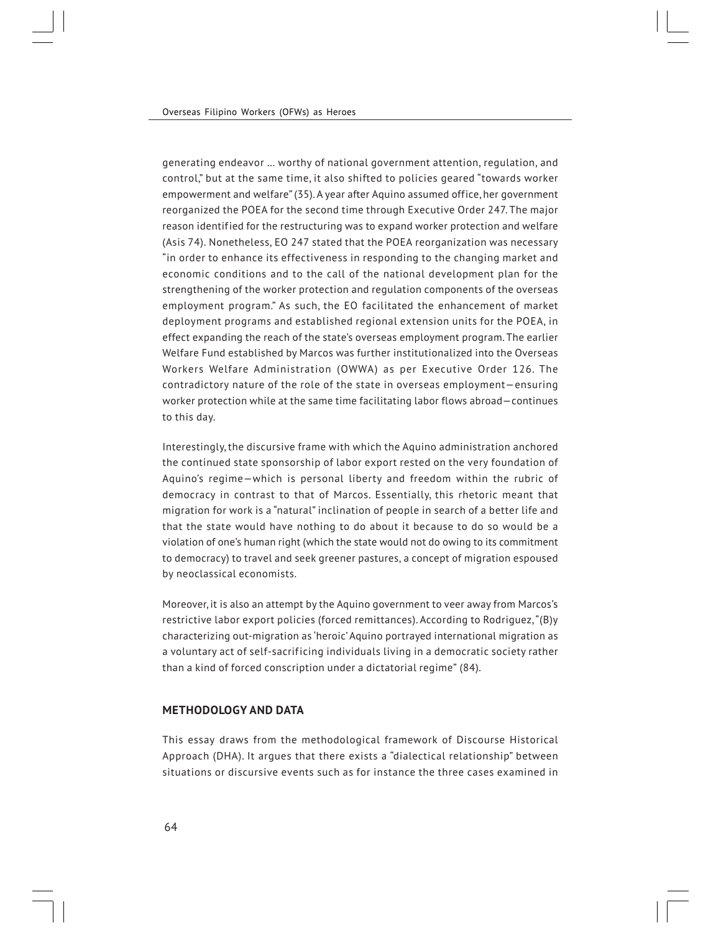generating endeavor … worthy of national government attention, regulation, and control," but at the same time, it also shifted to policies geared "towards worker empowerment and welfare" (35). A year after Aquino assumed office, her government reorganized the POEA for the second time through Executive Order 247. The major reason identified for the restructuring was to expand worker protection and welfare (Asis 74). Nonetheless, EO 247 stated that the POEA reorganization was necessary "in order to enhance its effectiveness in responding to the changing market and economic conditions and to the call of the national development plan for the strengthening of the worker protection and regulation components of the overseas employment program." As such, the EO facilitated the enhancement of market deployment programs and established regional extension units for the POEA, in effect expanding the reach of the state's overseas employment program. The earlier Welfare Fund established by Marcos was further institutionalized into the Overseas Workers Welfare Administration (OWWA) as per Executive Order 126. The contradictory nature of the role of the state in overseas employment—ensuring worker protection while at the same time facilitating labor flows abroad—continues to this day.

Interestingly, the discursive frame with which the Aquino administration anchored the continued state sponsorship of labor export rested on the very foundation of Aquino's regime—which is personal liberty and freedom within the rubric of democracy in contrast to that of Marcos. Essentially, this rhetoric meant that migration for work is a "natural" inclination of people in search of a better life and that the state would have nothing to do about it because to do so would be a violation of one's human right (which the state would not do owing to its commitment to democracy) to travel and seek greener pastures, a concept of migration espoused by neoclassical economists.

Moreover, it is also an attempt by the Aquino government to veer away from Marcos's restrictive labor export policies (forced remittances). According to Rodriguez, "(B)y characterizing out-migration as 'heroic' Aquino portrayed international migration as a voluntary act of self-sacrificing individuals living in a democratic society rather than a kind of forced conscription under a dictatorial regime" (84).

# **METHODOLOGY AND DATA**

This essay draws from the methodological framework of Discourse Historical Approach (DHA). It argues that there exists a "dialectical relationship" between situations or discursive events such as for instance the three cases examined in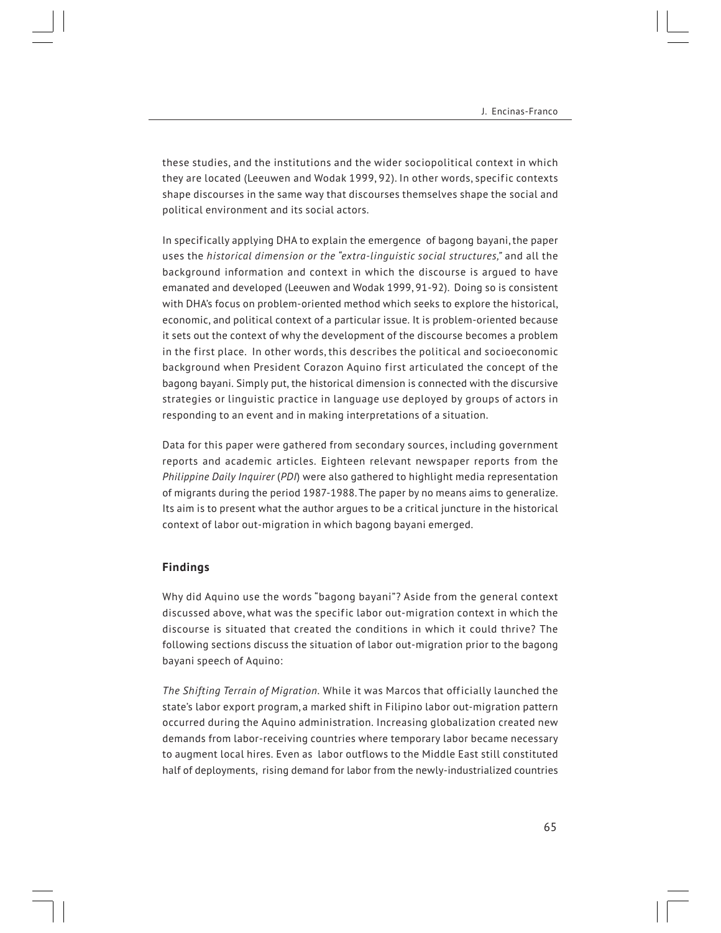these studies, and the institutions and the wider sociopolitical context in which they are located (Leeuwen and Wodak 1999, 92). In other words, specific contexts shape discourses in the same way that discourses themselves shape the social and political environment and its social actors.

In specifically applying DHA to explain the emergence of bagong bayani, the paper uses the *historical dimension or the "extra-linguistic social structures,"* and all the background information and context in which the discourse is argued to have emanated and developed (Leeuwen and Wodak 1999, 91-92). Doing so is consistent with DHA's focus on problem-oriented method which seeks to explore the historical, economic, and political context of a particular issue. It is problem-oriented because it sets out the context of why the development of the discourse becomes a problem in the first place. In other words, this describes the political and socioeconomic background when President Corazon Aquino first articulated the concept of the bagong bayani. Simply put, the historical dimension is connected with the discursive strategies or linguistic practice in language use deployed by groups of actors in responding to an event and in making interpretations of a situation.

Data for this paper were gathered from secondary sources, including government reports and academic articles. Eighteen relevant newspaper reports from the *Philippine Daily Inquirer* (*PDI*) were also gathered to highlight media representation of migrants during the period 1987-1988. The paper by no means aims to generalize. Its aim is to present what the author argues to be a critical juncture in the historical context of labor out-migration in which bagong bayani emerged.

#### **Find ings**

Why did Aquino use the words "bagong bayani"? Aside from the general context discussed above, what was the specific labor out-migration context in which the discourse is situated that created the conditions in which it could thrive? The following sections discuss the situation of labor out-migration prior to the bagong bayani speech of Aquino:

*The Shifting Terrain of Migration.* While it was Marcos that officially launched the state's labor export program, a marked shift in Filipino labor out-migration pattern occurred during the Aquino administration. Increasing globalization created new demands from labor-receiving countries where temporary labor became necessary to augment local hires. Even as labor outflows to the Middle East still constituted half of deployments, rising demand for labor from the newly-industrialized countries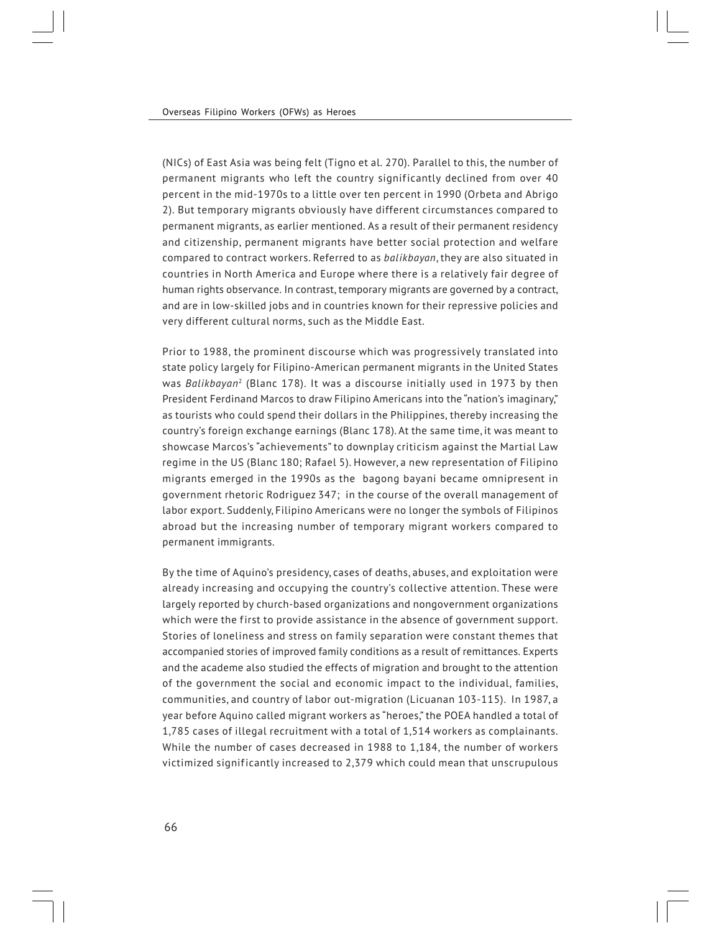(NICs) of East Asia was being felt (Tigno et al. 270). Parallel to this, the number of permanent migrants who left the country significantly declined from over 40 percent in the mid-1970s to a little over ten percent in 1990 (Orbeta and Abrigo 2). But temporary migrants obviously have different circumstances compared to permanent migrants, as earlier mentioned. As a result of their permanent residency and citizenship, permanent migrants have better social protection and welfare compared to contract workers. Referred to as *balikbayan*, they are also situated in countries in North America and Europe where there is a relatively fair degree of human rights observance. In contrast, temporary migrants are governed by a contract, and are in low-skilled jobs and in countries known for their repressive policies and very different cultural norms, such as the Middle East.

Prior to 1988, the prominent discourse which was progressively translated into state policy largely for Filipino-American permanent migrants in the United States was *Balikbayan*<sup>2</sup> (Blanc 178). It was a discourse initially used in 1973 by then President Ferdinand Marcos to draw Filipino Americans into the "nation's imaginary," as tourists who could spend their dollars in the Philippines, thereby increasing the country's foreign exchange earnings (Blanc 178). At the same time, it was meant to showcase Marcos's "achievements" to downplay criticism against the Martial Law regime in the US (Blanc 180; Rafael 5). However, a new representation of Filipino migrants emerged in the 1990s as the bagong bayani became omnipresent in government rhetoric Rodriguez 347; in the course of the overall management of labor export. Suddenly, Filipino Americans were no longer the symbols of Filipinos abroad but the increasing number of temporary migrant workers compared to permanent immigrants.

By the time of Aquino's presidency, cases of deaths, abuses, and exploitation were already increasing and occupying the country's collective attention. These were largely reported by church-based organizations and nongovernment organizations which were the first to provide assistance in the absence of government support. Stories of loneliness and stress on family separation were constant themes that accompanied stories of improved family conditions as a result of remittances. Experts and the academe also studied the effects of migration and brought to the attention of the government the social and economic impact to the individual, families, communities, and country of labor out-migration (Licuanan 103-115). In 1987, a year before Aquino called migrant workers as "heroes," the POEA handled a total of 1,785 cases of illegal recruitment with a total of 1,514 workers as complainants. While the number of cases decreased in 1988 to 1,184, the number of workers victimized significantly increased to 2,379 which could mean that unscrupulous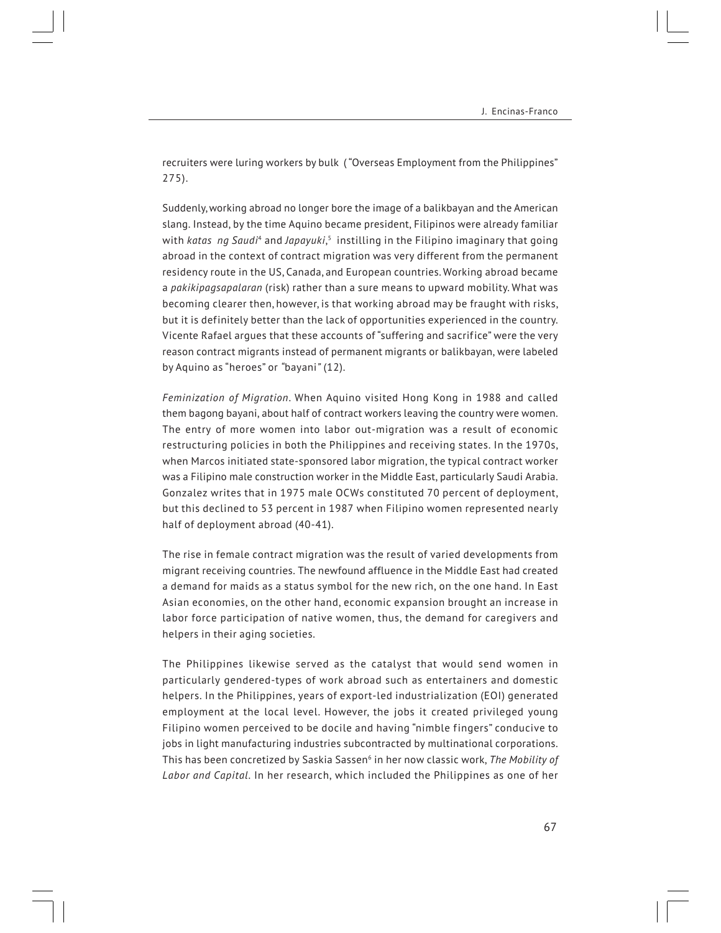recruiters were luring workers by bulk ("Overseas Employment from the Philippines" 275).

Suddenly, working abroad no longer bore the image of a balikbayan and the American slang. Instead, by the time Aquino became president, Filipinos were already familiar with *katas ng Saudi*4 and *Japayuki*, 5 instilling in the Filipino imaginary that going abroad in the context of contract migration was very different from the permanent residency route in the US, Canada, and European countries. Working abroad became a *pakikipagsapalaran* (risk) rather than a sure means to upward mobility. What was becoming clearer then, however, is that working abroad may be fraught with risks, but it is definitely better than the lack of opportunities experienced in the country. Vicente Rafael argues that these accounts of "suffering and sacrifice" were the very reason contract migrants instead of permanent migrants or balikbayan, were labeled by Aquino as "heroes" or *"*bayani*"* (12).

*Feminization of Migration*. When Aquino visited Hong Kong in 1988 and called them bagong bayani, about half of contract workers leaving the country were women. The entry of more women into labor out-migration was a result of economic restructuring policies in both the Philippines and receiving states. In the 1970s, when Marcos initiated state-sponsored labor migration, the typical contract worker was a Filipino male construction worker in the Middle East, particularly Saudi Arabia. Gonzalez writes that in 1975 male OCWs constituted 70 percent of deployment, but this declined to 53 percent in 1987 when Filipino women represented nearly half of deployment abroad (40-41).

The rise in female contract migration was the result of varied developments from migrant receiving countries. The newfound affluence in the Middle East had created a demand for maids as a status symbol for the new rich, on the one hand. In East Asian economies, on the other hand, economic expansion brought an increase in labor force participation of native women, thus, the demand for caregivers and helpers in their aging societies.

The Philippines likewise served as the catalyst that would send women in particularly gendered-types of work abroad such as entertainers and domestic helpers. In the Philippines, years of export-led industrialization (EOI) generated employment at the local level. However, the jobs it created privileged young Filipino women perceived to be docile and having "nimble fingers" conducive to jobs in light manufacturing industries subcontracted by multinational corporations. This has been concretized by Saskia Sassen6 in her now classic work, *The Mobility of Labor and Capital*. In her research, which included the Philippines as one of her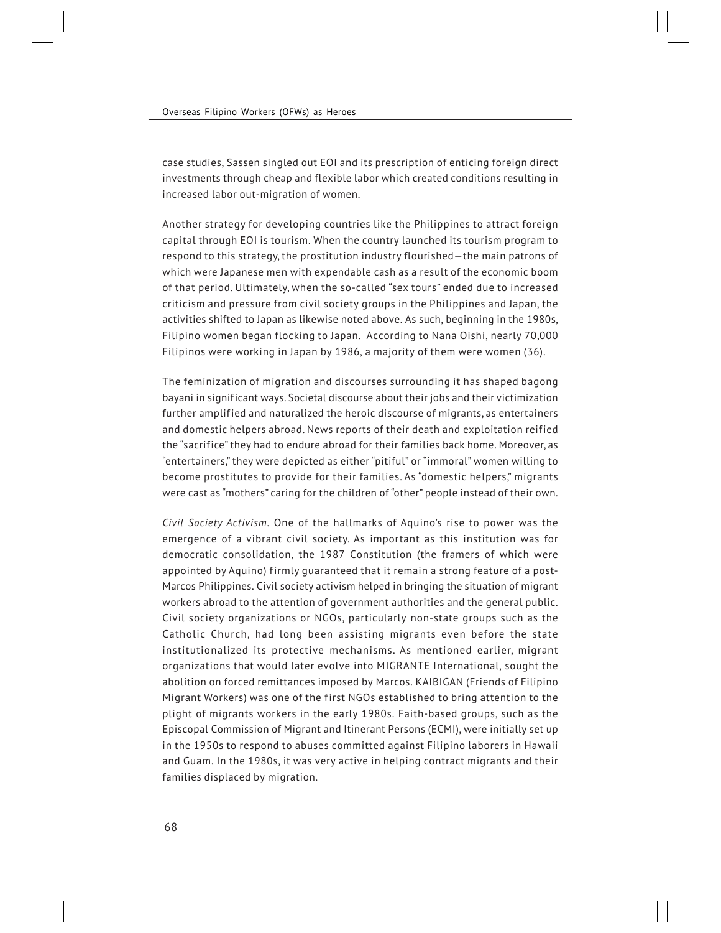case studies, Sassen singled out EOI and its prescription of enticing foreign direct investments through cheap and flexible labor which created conditions resulting in increased labor out-migration of women.

Another strategy for developing countries like the Philippines to attract foreign capital through EOI is tourism. When the country launched its tourism program to respond to this strategy, the prostitution industry flourished—the main patrons of which were Japanese men with expendable cash as a result of the economic boom of that period. Ultimately, when the so-called "sex tours" ended due to increased criticism and pressure from civil society groups in the Philippines and Japan, the activities shifted to Japan as likewise noted above. As such, beginning in the 1980s, Filipino women began flocking to Japan. According to Nana Oishi, nearly 70,000 Filipinos were working in Japan by 1986, a majority of them were women (36).

The feminization of migration and discourses surrounding it has shaped bagong bayani in significant ways. Societal discourse about their jobs and their victimization further amplified and naturalized the heroic discourse of migrants, as entertainers and domestic helpers abroad. News reports of their death and exploitation reified the "sacrifice" they had to endure abroad for their families back home. Moreover, as "entertainers," they were depicted as either "pitiful" or "immoral" women willing to become prostitutes to provide for their families. As "domestic helpers," migrants were cast as "mothers" caring for the children of "other" people instead of their own.

*Civil Society Activism.* One of the hallmarks of Aquino's rise to power was the emergence of a vibrant civil society. As important as this institution was for democratic consolidation, the 1987 Constitution (the framers of which were appointed by Aquino) firmly guaranteed that it remain a strong feature of a post-Marcos Philippines. Civil society activism helped in bringing the situation of migrant workers abroad to the attention of government authorities and the general public. Civil society organizations or NGOs, particularly non-state groups such as the Catholic Church, had long been assisting migrants even before the state institutionalized its protective mechanisms. As mentioned earlier, migrant organizations that would later evolve into MIGRANTE International, sought the abolition on forced remittances imposed by Marcos. KAIBIGAN (Friends of Filipino Migrant Workers) was one of the first NGOs established to bring attention to the plight of migrants workers in the early 1980s. Faith-based groups, such as the Episcopal Commission of Migrant and Itinerant Persons (ECMI), were initially set up in the 1950s to respond to abuses committed against Filipino laborers in Hawaii and Guam. In the 1980s, it was very active in helping contract migrants and their families displaced by migration.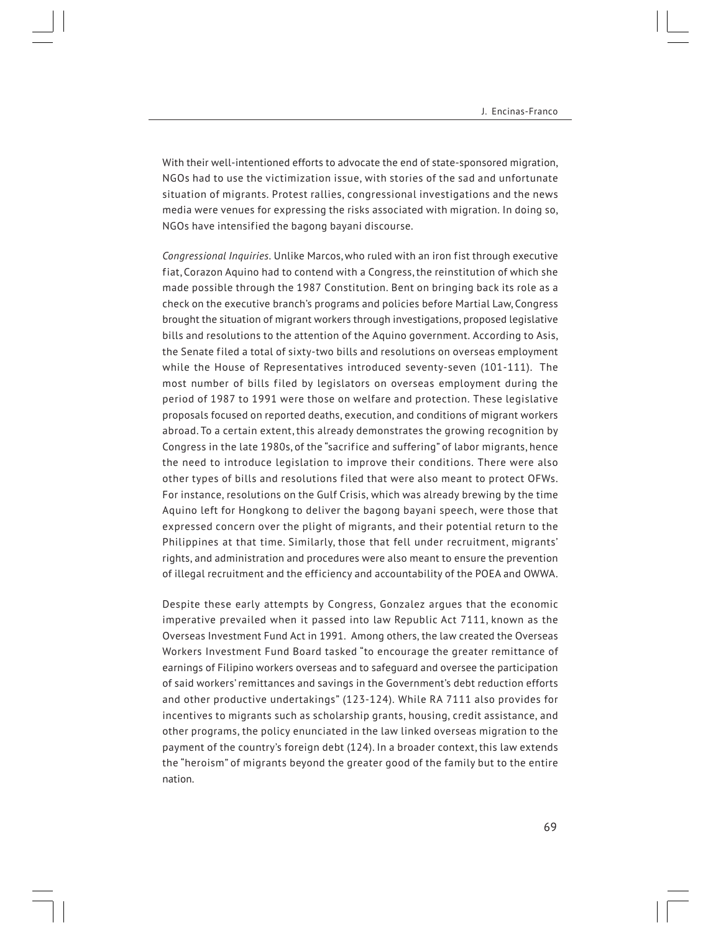With their well-intentioned efforts to advocate the end of state-sponsored migration, NGOs had to use the victimization issue, with stories of the sad and unfortunate situation of migrants. Protest rallies, congressional investigations and the news media were venues for expressing the risks associated with migration. In doing so, NGOs have intensified the bagong bayani discourse.

*Congressional Inquiries.* Unlike Marcos, who ruled with an iron fist through executive fiat, Corazon Aquino had to contend with a Congress, the reinstitution of which she made possible through the 1987 Constitution. Bent on bringing back its role as a check on the executive branch's programs and policies before Martial Law, Congress brought the situation of migrant workers through investigations, proposed legislative bills and resolutions to the attention of the Aquino government. According to Asis, the Senate filed a total of sixty-two bills and resolutions on overseas employment while the House of Representatives introduced seventy-seven (101-111). The most number of bills filed by legislators on overseas employment during the period of 1987 to 1991 were those on welfare and protection. These legislative proposals focused on reported deaths, execution, and conditions of migrant workers abroad. To a certain extent, this already demonstrates the growing recognition by Congress in the late 1980s, of the "sacrifice and suffering" of labor migrants, hence the need to introduce legislation to improve their conditions. There were also other types of bills and resolutions filed that were also meant to protect OFWs. For instance, resolutions on the Gulf Crisis, which was already brewing by the time Aquino left for Hongkong to deliver the bagong bayani speech, were those that expressed concern over the plight of migrants, and their potential return to the Philippines at that time. Similarly, those that fell under recruitment, migrants' rights, and administration and procedures were also meant to ensure the prevention of illegal recruitment and the efficiency and accountability of the POEA and OWWA.

Despite these early attempts by Congress, Gonzalez argues that the economic imperative prevailed when it passed into law Republic Act 7111, known as the Overseas Investment Fund Act in 1991. Among others, the law created the Overseas Workers Investment Fund Board tasked "to encourage the greater remittance of earnings of Filipino workers overseas and to safeguard and oversee the participation of said workers' remittances and savings in the Government's debt reduction efforts and other productive undertakings" (123-124). While RA 7111 also provides for incentives to migrants such as scholarship grants, housing, credit assistance, and other programs, the policy enunciated in the law linked overseas migration to the payment of the country's foreign debt (124). In a broader context, this law extends the "heroism" of migrants beyond the greater good of the family but to the entire nation.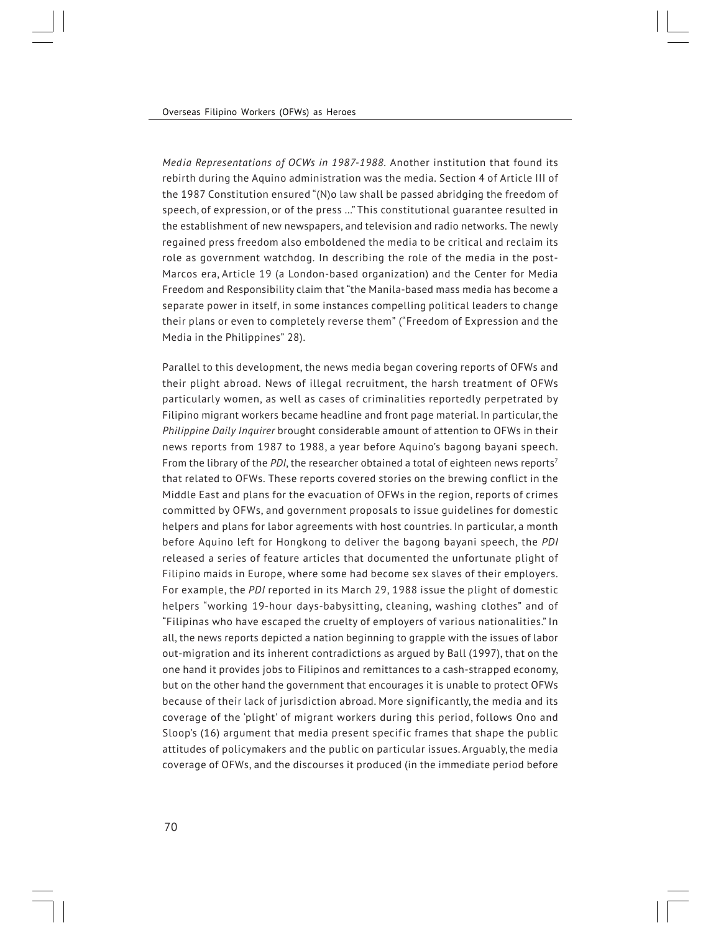*Media Representations of OCWs in 1987-1988.* Another institution that found its rebirth during the Aquino administration was the media. Section 4 of Article III of the 1987 Constitution ensured "(N)o law shall be passed abridging the freedom of speech, of expression, or of the press …" This constitutional guarantee resulted in the establishment of new newspapers, and television and radio networks. The newly regained press freedom also emboldened the media to be critical and reclaim its role as government watchdog. In describing the role of the media in the post-Marcos era, Article 19 (a London-based organization) and the Center for Media Freedom and Responsibility claim that "the Manila-based mass media has become a separate power in itself, in some instances compelling political leaders to change their plans or even to completely reverse them" ("Freedom of Expression and the Media in the Philippines" 28).

Parallel to this development, the news media began covering reports of OFWs and their plight abroad. News of illegal recruitment, the harsh treatment of OFWs particularly women, as well as cases of criminalities reportedly perpetrated by Filipino migrant workers became headline and front page material. In particular, the *Philippine Daily Inquirer* brought considerable amount of attention to OFWs in their news reports from 1987 to 1988, a year before Aquino's bagong bayani speech. From the library of the *PDI*, the researcher obtained a total of eighteen news reports<sup>7</sup> that related to OFWs. These reports covered stories on the brewing conflict in the Middle East and plans for the evacuation of OFWs in the region, reports of crimes committed by OFWs, and government proposals to issue guidelines for domestic helpers and plans for labor agreements with host countries. In particular, a month before Aquino left for Hongkong to deliver the bagong bayani speech, the *PDI* released a series of feature articles that documented the unfortunate plight of Filipino maids in Europe, where some had become sex slaves of their employers. For example, the *PDI* reported in its March 29, 1988 issue the plight of domestic helpers "working 19-hour days-babysitting, cleaning, washing clothes" and of "Filipinas who have escaped the cruelty of employers of various nationalities." In all, the news reports depicted a nation beginning to grapple with the issues of labor out-migration and its inherent contradictions as argued by Ball (1997), that on the one hand it provides jobs to Filipinos and remittances to a cash-strapped economy, but on the other hand the government that encourages it is unable to protect OFWs because of their lack of jurisdiction abroad. More significantly, the media and its coverage of the 'plight' of migrant workers during this period, follows Ono and Sloop's (16) argument that media present specific frames that shape the public attitudes of policymakers and the public on particular issues. Arguably, the media coverage of OFWs, and the discourses it produced (in the immediate period before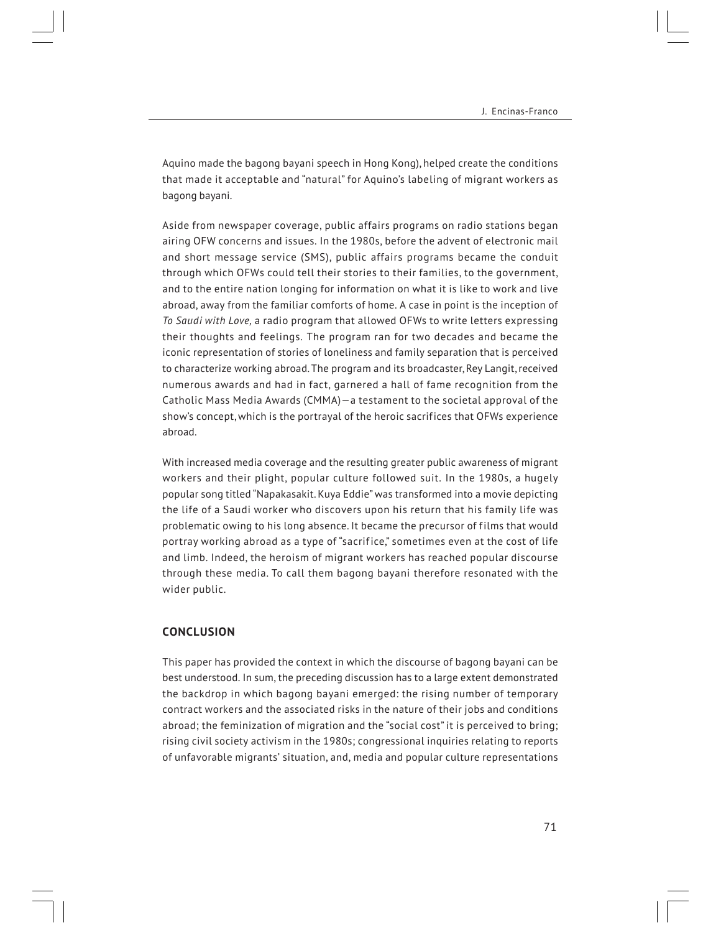Aquino made the bagong bayani speech in Hong Kong), helped create the conditions that made it acceptable and "natural" for Aquino's labeling of migrant workers as bagong bayani.

Aside from newspaper coverage, public affairs programs on radio stations began airing OFW concerns and issues. In the 1980s, before the advent of electronic mail and short message service (SMS), public affairs programs became the conduit through which OFWs could tell their stories to their families, to the government, and to the entire nation longing for information on what it is like to work and live abroad, away from the familiar comforts of home. A case in point is the inception of *To Saudi with Love,* a radio program that allowed OFWs to write letters expressing their thoughts and feelings. The program ran for two decades and became the iconic representation of stories of loneliness and family separation that is perceived to characterize working abroad. The program and its broadcaster, Rey Langit, received numerous awards and had in fact, garnered a hall of fame recognition from the Catholic Mass Media Awards (CMMA)—a testament to the societal approval of the show's concept, which is the portrayal of the heroic sacrifices that OFWs experience abroad.

With increased media coverage and the resulting greater public awareness of migrant workers and their plight, popular culture followed suit. In the 1980s, a hugely popular song titled "Napakasakit. Kuya Eddie" was transformed into a movie depicting the life of a Saudi worker who discovers upon his return that his family life was problematic owing to his long absence. It became the precursor of films that would portray working abroad as a type of "sacrifice," sometimes even at the cost of life and limb. Indeed, the heroism of migrant workers has reached popular discourse through these media. To call them bagong bayani therefore resonated with the wider public.

# **CONCLUSION**

This paper has provided the context in which the discourse of bagong bayani can be best understood. In sum, the preceding discussion has to a large extent demonstrated the backdrop in which bagong bayani emerged: the rising number of temporary contract workers and the associated risks in the nature of their jobs and conditions abroad; the feminization of migration and the "social cost" it is perceived to bring; rising civil society activism in the 1980s; congressional inquiries relating to reports of unfavorable migrants' situation, and, media and popular culture representations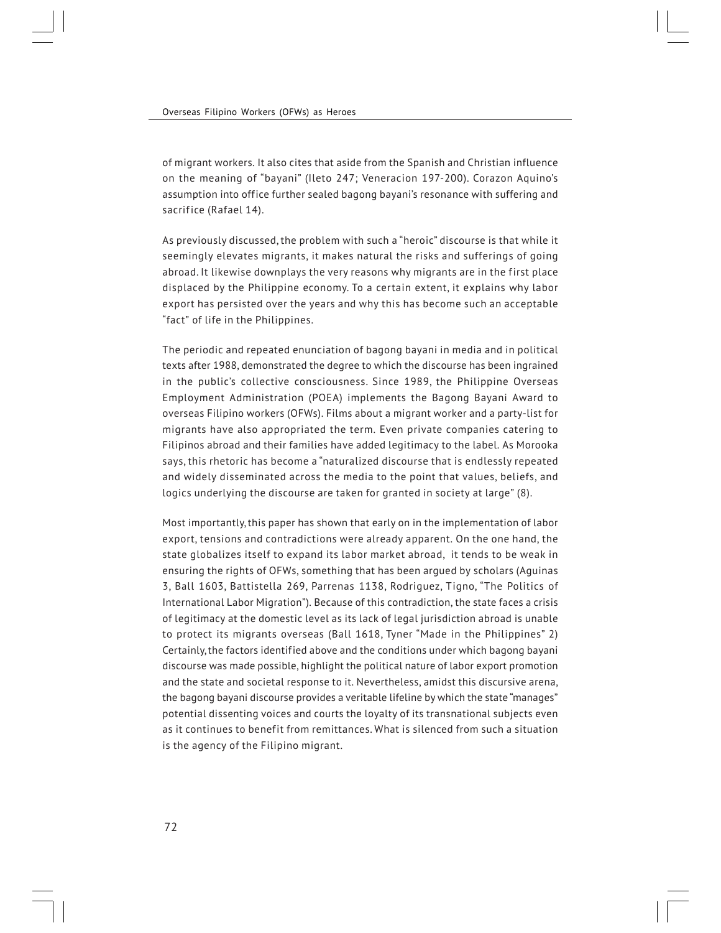of migrant workers. It also cites that aside from the Spanish and Christian influence on the meaning of "bayani" (Ileto 247; Veneracion 197-200). Corazon Aquino's assumption into office further sealed bagong bayani's resonance with suffering and sacrifice (Rafael 14).

As previously discussed, the problem with such a "heroic" discourse is that while it seemingly elevates migrants, it makes natural the risks and sufferings of going abroad. It likewise downplays the very reasons why migrants are in the first place displaced by the Philippine economy. To a certain extent, it explains why labor export has persisted over the years and why this has become such an acceptable "fact" of life in the Philippines.

The periodic and repeated enunciation of bagong bayani in media and in political texts after 1988, demonstrated the degree to which the discourse has been ingrained in the public's collective consciousness. Since 1989, the Philippine Overseas Employment Administration (POEA) implements the Bagong Bayani Award to overseas Filipino workers (OFWs). Films about a migrant worker and a party-list for migrants have also appropriated the term. Even private companies catering to Filipinos abroad and their families have added legitimacy to the label. As Morooka says, this rhetoric has become a "naturalized discourse that is endlessly repeated and widely disseminated across the media to the point that values, beliefs, and logics underlying the discourse are taken for granted in society at large" (8).

Most importantly, this paper has shown that early on in the implementation of labor export, tensions and contradictions were already apparent. On the one hand, the state globalizes itself to expand its labor market abroad, it tends to be weak in ensuring the rights of OFWs, something that has been argued by scholars (Aguinas 3, Ball 1603, Battistella 269, Parrenas 1138, Rodriguez, Tigno, "The Politics of International Labor Migration"). Because of this contradiction, the state faces a crisis of legitimacy at the domestic level as its lack of legal jurisdiction abroad is unable to protect its migrants overseas (Ball 1618, Tyner "Made in the Philippines" 2) Certainly, the factors identified above and the conditions under which bagong bayani discourse was made possible, highlight the political nature of labor export promotion and the state and societal response to it. Nevertheless, amidst this discursive arena, the bagong bayani discourse provides a veritable lifeline by which the state "manages" potential dissenting voices and courts the loyalty of its transnational subjects even as it continues to benefit from remittances. What is silenced from such a situation is the agency of the Filipino migrant.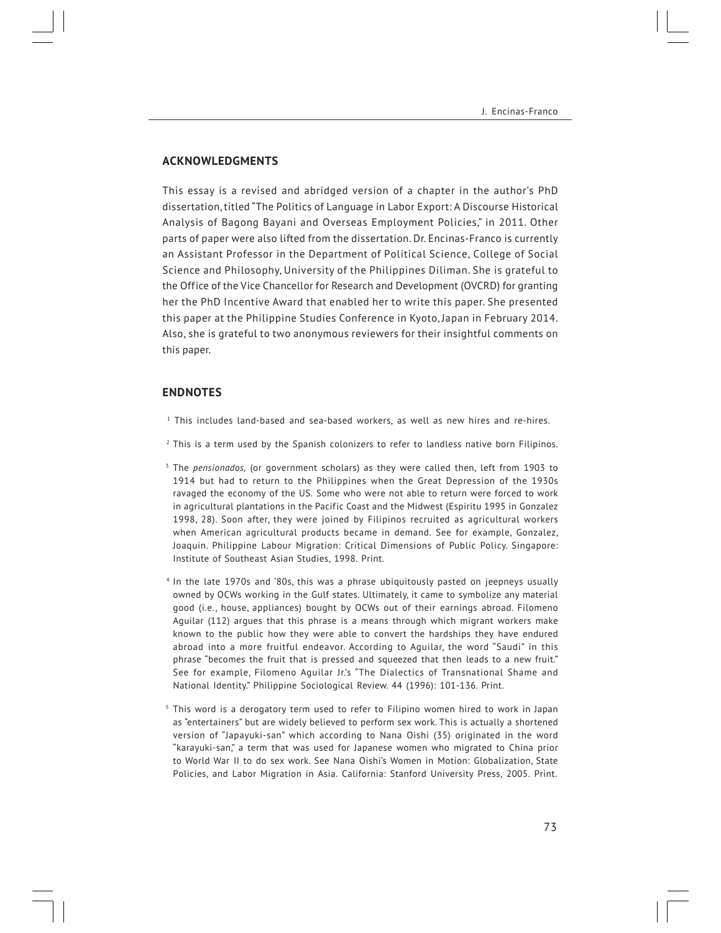# **ACKNOWLEDGMENTS**

This essay is a revised and abridged version of a chapter in the author's PhD dissertation, titled "The Politics of Language in Labor Export: A Discourse Historical Analysis of Bagong Bayani and Overseas Employment Policies," in 2011. Other parts of paper were also lifted from the dissertation. Dr. Encinas-Franco is currently an Assistant Professor in the Department of Political Science, College of Social Science and Philosophy, University of the Philippines Diliman. She is grateful to the Office of the Vice Chancellor for Research and Development (OVCRD) for granting her the PhD Incentive Award that enabled her to write this paper. She presented this paper at the Philippine Studies Conference in Kyoto, Japan in February 2014. Also, she is grateful to two anonymous reviewers for their insightful comments on this paper.

#### **ENDNOTES**

- $<sup>1</sup>$  This includes land-based and sea-based workers, as well as new hires and re-hires.</sup>
- $<sup>2</sup>$  This is a term used by the Spanish colonizers to refer to landless native born Filipinos.</sup>
- <sup>3</sup> The *pensionados,* (or government scholars) as they were called then, left from 1903 to 1914 but had to return to the Philippines when the Great Depression of the 1930s ravaged the economy of the US. Some who were not able to return were forced to work in agricultural plantations in the Pacific Coast and the Midwest (Espiritu 1995 in Gonzalez 1998, 28). Soon after, they were joined by Filipinos recruited as agricultural workers when American agricultural products became in demand. See for example, Gonzalez, Joaquin. Philippine Labour Migration: Critical Dimensions of Public Policy. Singapore: Institute of Southeast Asian Studies, 1998. Print.
- <sup>4</sup> In the late 1970s and '80s, this was a phrase ubiquitously pasted on jeepneys usually owned by OCWs working in the Gulf states. Ultimately, it came to symbolize any material good (i.e., house, appliances) bought by OCWs out of their earnings abroad. Filomeno Aguilar (112) argues that this phrase is a means through which migrant workers make known to the public how they were able to convert the hardships they have endured abroad into a more fruitful endeavor. According to Aguilar, the word "Saudi" in this phrase "becomes the fruit that is pressed and squeezed that then leads to a new fruit." See for example, Filomeno Aguilar Jr.'s "The Dialectics of Transnational Shame and National Identity." Philippine Sociological Review. 44 (1996): 101-136. Print.
- $5$  This word is a derogatory term used to refer to Filipino women hired to work in Japan as "entertainers" but are widely believed to perform sex work. This is actually a shortened version of "Japayuki-san" which according to Nana Oishi (35) originated in the word "karayuki-san," a term that was used for Japanese women who migrated to China prior to World War II to do sex work. See Nana Oishi's Women in Motion: Globalization, State Policies, and Labor Migration in Asia. California: Stanford University Press, 2005. Print.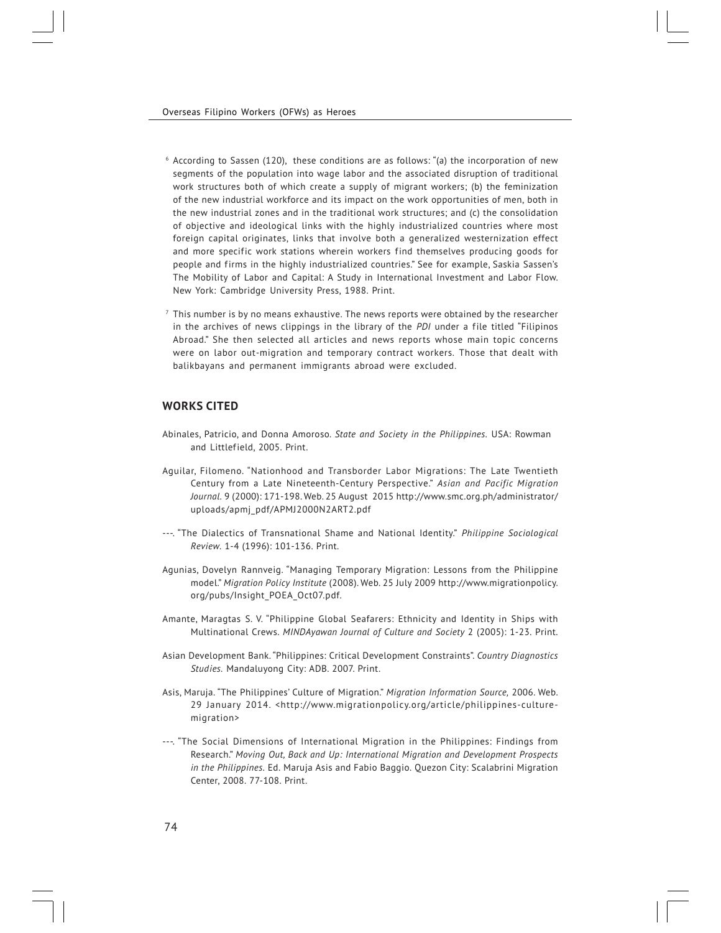- $6$  According to Sassen (120), these conditions are as follows: "(a) the incorporation of new segments of the population into wage labor and the associated disruption of traditional work structures both of which create a supply of migrant workers; (b) the feminization of the new industrial workforce and its impact on the work opportunities of men, both in the new industrial zones and in the traditional work structures; and (c) the consolidation of objective and ideological links with the highly industrialized countries where most foreign capital originates, links that involve both a generalized westernization effect and more specific work stations wherein workers find themselves producing goods for people and firms in the highly industrialized countries." See for example, Saskia Sassen's The Mobility of Labor and Capital: A Study in International Investment and Labor Flow. New York: Cambridge University Press, 1988. Print.
- $^7$  This number is by no means exhaustive. The news reports were obtained by the researcher in the archives of news clippings in the library of the *PDI* under a file titled "Filipinos Abroad." She then selected all articles and news reports whose main topic concerns were on labor out-migration and temporary contract workers. Those that dealt with balikbayans and permanent immigrants abroad were excluded.

# **WORKS CITED**

- Abinales, Patricio, and Donna Amoroso. *State and Society in the Philippines.* USA: Rowman and Littlefield, 2005. Print.
- Aguilar, Filomeno. "Nationhood and Transborder Labor Migrations: The Late Twentieth Century from a Late Nineteenth-Century Perspective." *Asian and Pacific Migration Journal.* 9 (2000): 171-198. Web. 25 August 2015 http://www.smc.org.ph/administrator/ uploads/apmj\_pdf/APMJ2000N2ART2.pdf
- ---. "The Dialectics of Transnational Shame and National Identity." *Philippine Sociological Review.* 1-4 (1996): 101-136. Print.
- Agunias, Dovelyn Rannveig. "Managing Temporary Migration: Lessons from the Philippine model." *Migration Policy Institute* (2008). Web. 25 July 2009 http://www.migrationpolicy. org/pubs/Insight\_POEA\_Oct07.pdf.
- Amante, Maragtas S. V. "Philippine Global Seafarers: Ethnicity and Identity in Ships with Multinational Crews. *MINDAyawan Journal of Culture and Society* 2 (2005): 1-23. Print.
- Asian Development Bank. "Philippines: Critical Development Constraints". *Country Diagnostics Studies.* Mandaluyong City: ADB. 2007. Print.
- Asis, Maruja. "The Philippines' Culture of Migration." *Migration Information Source,* 2006. Web. 29 January 2014. <http://www.migrationpolicy.org/article/philippines-culturemigration>
- ---. "The Social Dimensions of International Migration in the Philippines: Findings from Research." *Moving Out, Back and Up: International Migration and Development Prospects in the Philippines.* Ed. Maruja Asis and Fabio Baggio. Quezon City: Scalabrini Migration Center, 2008. 77-108. Print.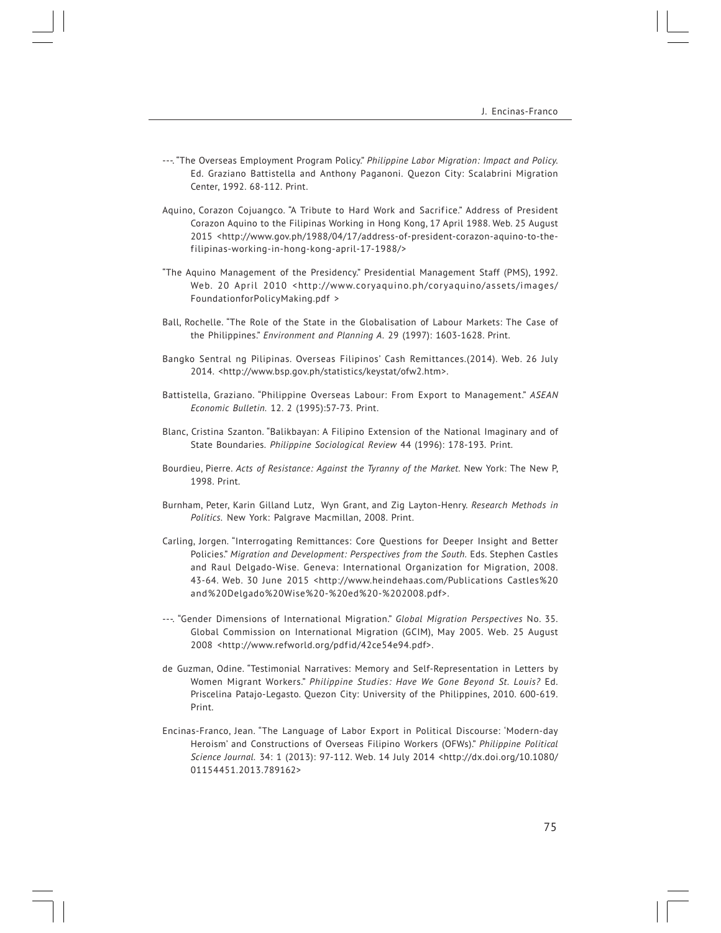- ---. "The Overseas Employment Program Policy." *Philippine Labor Migration: Impact and Policy.* Ed. Graziano Battistella and Anthony Paganoni. Quezon City: Scalabrini Migration Center, 1992. 68-112. Print.
- Aquino, Corazon Cojuangco. "A Tribute to Hard Work and Sacrifice." Address of President Corazon Aquino to the Filipinas Working in Hong Kong, 17 April 1988. Web. 25 August 2015 <http://www.gov.ph/1988/04/17/address-of-president-corazon-aquino-to-thefilipinas-working-in-hong-kong-april-17-1988/>
- "The Aquino Management of the Presidency." Presidential Management Staff (PMS), 1992. Web. 20 April 2010 <http://www.coryaquino.ph/coryaquino/assets/images/ FoundationforPolicyMaking.pdf >
- Ball, Rochelle. "The Role of the State in the Globalisation of Labour Markets: The Case of the Philippines." *Environment and Planning A.* 29 (1997): 1603-1628. Print.
- Bangko Sentral ng Pilipinas. Overseas Filipinos' Cash Remittances.(2014). Web. 26 July 2014. <http://www.bsp.gov.ph/statistics/keystat/ofw2.htm>.
- Battistella, Graziano. "Philippine Overseas Labour: From Export to Management." *ASEAN Economic Bulletin.* 12. 2 (1995):57-73. Print.
- Blanc, Cristina Szanton. "Balikbayan: A Filipino Extension of the National Imaginary and of State Boundaries. *Philippine Sociological Review* 44 (1996): 178-193. Print.
- Bourdieu, Pierre. *Acts of Resistance: Against the Tyranny of the Market.* New York: The New P, 1998. Print.
- Burnham, Peter, Karin Gilland Lutz, Wyn Grant, and Zig Layton-Henry. *Research Methods in Politics.* New York: Palgrave Macmillan, 2008. Print.
- Carling, Jorgen. "Interrogating Remittances: Core Questions for Deeper Insight and Better Policies." *Migration and Development: Perspectives from the South.* Eds. Stephen Castles and Raul Delgado-Wise. Geneva: International Organization for Migration, 2008. 43-64. Web. 30 June 2015 <http://www.heindehaas.com/Publications Castles%20 and%20Delgado%20Wise%20-%20ed%20-%202008.pdf>.
- ---. "Gender Dimensions of International Migration." *Global Migration Perspectives* No. 35. Global Commission on International Migration (GCIM), May 2005. Web. 25 August 2008 <http://www.refworld.org/pdfid/42ce54e94.pdf>.
- de Guzman, Odine. "Testimonial Narratives: Memory and Self-Representation in Letters by Women Migrant Workers." *Philippine Studies: Have We Gone Beyond St. Louis?* Ed. Priscelina Patajo-Legasto. Quezon City: University of the Philippines, 2010. 600-619. Print.
- Encinas-Franco, Jean. "The Language of Labor Export in Political Discourse: 'Modern-day Heroism' and Constructions of Overseas Filipino Workers (OFWs)." *Philippine Political Science Journal.* 34: 1 (2013): 97-112. Web. 14 July 2014 <http://dx.doi.org/10.1080/ 01154451.2013.789162>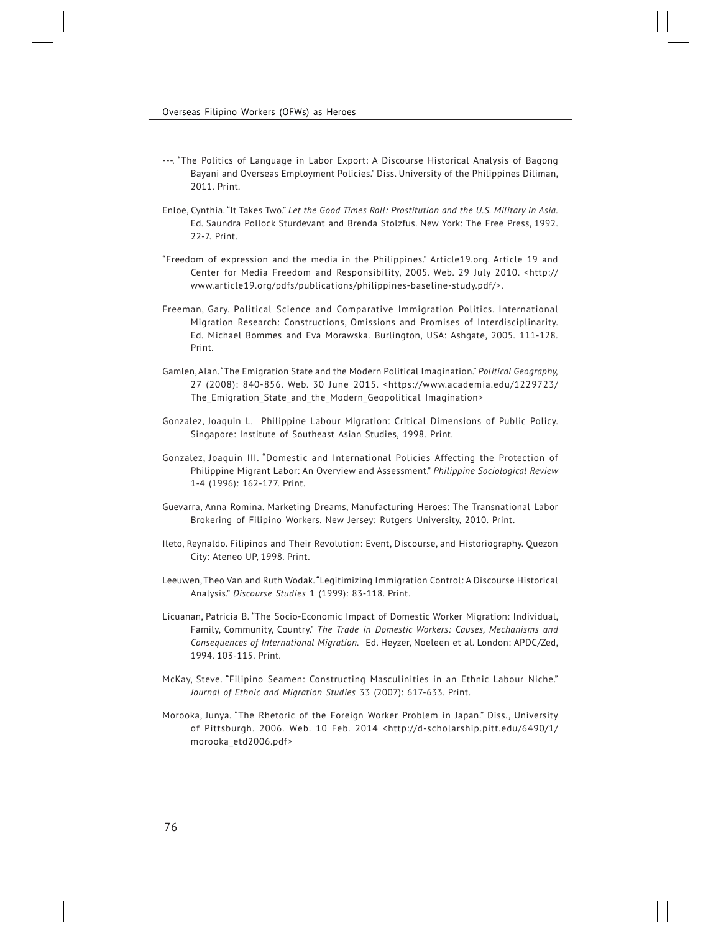- ---. "The Politics of Language in Labor Export: A Discourse Historical Analysis of Bagong Bayani and Overseas Employment Policies." Diss. University of the Philippines Diliman, 2011. Print.
- Enloe, Cynthia. "It Takes Two." *Let the Good Times Roll: Prostitution and the U.S. Military in Asia.* Ed. Saundra Pollock Sturdevant and Brenda Stolzfus. New York: The Free Press, 1992. 22-7. Print.
- "Freedom of expression and the media in the Philippines." Article19.org. Article 19 and Center for Media Freedom and Responsibility, 2005. Web. 29 July 2010. <http:// www.article19.org/pdfs/publications/philippines-baseline-study.pdf/>.
- Freeman, Gary. Political Science and Comparative Immigration Politics. International Migration Research: Constructions, Omissions and Promises of Interdisciplinarity. Ed. Michael Bommes and Eva Morawska. Burlington, USA: Ashgate, 2005. 111-128. Print.
- Gamlen, Alan. "The Emigration State and the Modern Political Imagination." *Political Geography,* 27 (2008): 840-856. Web. 30 June 2015. <https://www.academia.edu/1229723/ The Emigration State and the Modern Geopolitical Imagination>
- Gonzalez, Joaquin L. Philippine Labour Migration: Critical Dimensions of Public Policy. Singapore: Institute of Southeast Asian Studies, 1998. Print.
- Gonzalez, Joaquin III. "Domestic and International Policies Affecting the Protection of Philippine Migrant Labor: An Overview and Assessment." *Philippine Sociological Review* 1-4 (1996): 162-177. Print.
- Guevarra, Anna Romina. Marketing Dreams, Manufacturing Heroes: The Transnational Labor Brokering of Filipino Workers. New Jersey: Rutgers University, 2010. Print.
- Ileto, Reynaldo. Filipinos and Their Revolution: Event, Discourse, and Historiography. Quezon City: Ateneo UP, 1998. Print.
- Leeuwen, Theo Van and Ruth Wodak. "Legitimizing Immigration Control: A Discourse Historical Analysis." *Discourse Studies* 1 (1999): 83-118. Print.
- Licuanan, Patricia B. "The Socio-Economic Impact of Domestic Worker Migration: Individual, Family, Community, Country." *The Trade in Domestic Workers: Causes, Mechanisms and Consequences of International Migration.* Ed. Heyzer, Noeleen et al. London: APDC/Zed, 1994. 103-115. Print.
- McKay, Steve. "Filipino Seamen: Constructing Masculinities in an Ethnic Labour Niche." *Journal of Ethnic and Migration Studies* 33 (2007): 617-633. Print.
- Morooka, Junya. "The Rhetoric of the Foreign Worker Problem in Japan." Diss., University of Pittsburgh. 2006. Web. 10 Feb. 2014 <http://d-scholarship.pitt.edu/6490/1/ morooka\_etd2006.pdf>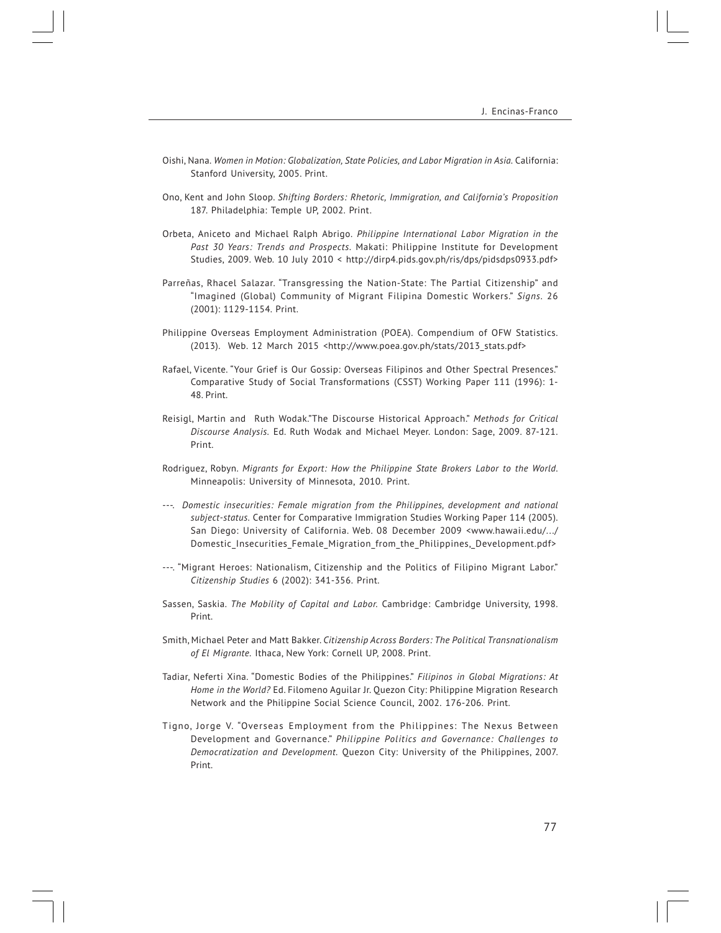- Oishi, Nana. *Women in Motion: Globalization, State Policies, and Labor Migration in Asia.* California: Stanford University, 2005. Print.
- Ono, Kent and John Sloop. *Shifting Borders: Rhetoric, Immigration, and California's Proposition* 187. Philadelphia: Temple UP, 2002. Print.
- Orbeta, Aniceto and Michael Ralph Abrigo. *Philippine International Labor Migration in the Past 30 Years: Trends and Prospects.* Makati: Philippine Institute for Development Studies, 2009. Web. 10 July 2010 < http://dirp4.pids.gov.ph/ris/dps/pidsdps0933.pdf>
- Parreñas, Rhacel Salazar. "Transgressing the Nation-State: The Partial Citizenship" and "Imagined (Global) Community of Migrant Filipina Domestic Workers." *Signs.* 26 (2001): 1129-1154. Print.
- Philippine Overseas Employment Administration (POEA). Compendium of OFW Statistics. (2013). Web. 12 March 2015 <http://www.poea.gov.ph/stats/2013\_stats.pdf>
- Rafael, Vicente. "Your Grief is Our Gossip: Overseas Filipinos and Other Spectral Presences." Comparative Study of Social Transformations (CSST) Working Paper 111 (1996): 1- 48. Print.
- Reisigl, Martin and Ruth Wodak."The Discourse Historical Approach." *Methods for Critical Discourse Analysis.* Ed. Ruth Wodak and Michael Meyer. London: Sage, 2009. 87-121. Print.
- Rodriguez, Robyn. *Migrants for Export: How the Philippine State Brokers Labor to the World.* Minneapolis: University of Minnesota, 2010. Print.
- ---. *Domestic insecurities: Female migration from the Philippines, development and national subject-status.* Center for Comparative Immigration Studies Working Paper 114 (2005). San Diego: University of California. Web. 08 December 2009 <www.hawaii.edu/.../ Domestic\_Insecurities\_Female\_Migration\_from\_the\_Philippines,\_Development.pdf>
- ---. "Migrant Heroes: Nationalism, Citizenship and the Politics of Filipino Migrant Labor." *Citizenship Studies* 6 (2002): 341-356. Print.
- Sassen, Saskia. *The Mobility of Capital and Labor.* Cambridge: Cambridge University, 1998. Print.
- Smith, Michael Peter and Matt Bakker. *Citizenship Across Borders: The Political Transnationalism of El Migrante.* Ithaca, New York: Cornell UP, 2008. Print.
- Tadiar, Neferti Xina. "Domestic Bodies of the Philippines." *Filipinos in Global Migrations: At Home in the World?* Ed. Filomeno Aguilar Jr. Quezon City: Philippine Migration Research Network and the Philippine Social Science Council, 2002. 176-206. Print.
- Tigno, Jorge V. "Overseas Employment from the Philippines: The Nexus Between Development and Governance." *Philippine Politics and Governance: Challenges to Democratization and Development.* Quezon City: University of the Philippines, 2007. Print.